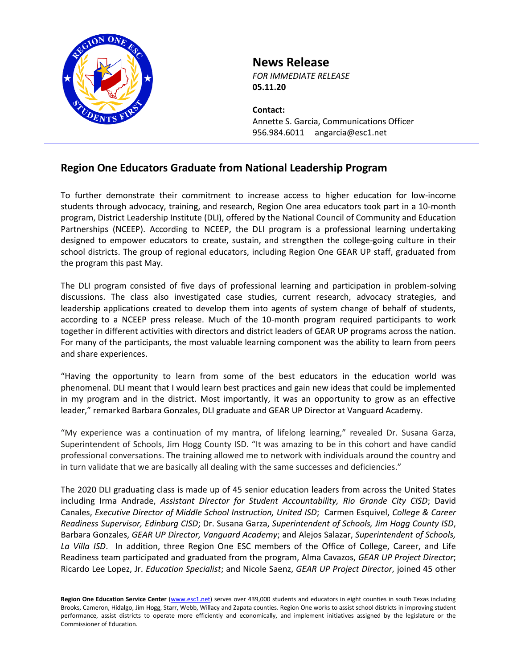

## **News Release**

*FOR IMMEDIATE RELEASE* **05.11.20**

**Contact:** Annette S. Garcia, Communications Officer 956.984.6011 angarcia@esc1.net

## **Region One Educators Graduate from National Leadership Program**

To further demonstrate their commitment to increase access to higher education for low-income students through advocacy, training, and research, Region One area educators took part in a 10-month program, District Leadership Institute (DLI), offered by the National Council of Community and Education Partnerships (NCEEP). According to NCEEP, the DLI program is a professional learning undertaking designed to empower educators to create, sustain, and strengthen the college-going culture in their school districts. The group of regional educators, including Region One GEAR UP staff, graduated from the program this past May.

The DLI program consisted of five days of professional learning and participation in problem-solving discussions. The class also investigated case studies, current research, advocacy strategies, and leadership applications created to develop them into agents of system change of behalf of students, according to a NCEEP press release. Much of the 10-month program required participants to work together in different activities with directors and district leaders of GEAR UP programs across the nation. For many of the participants, the most valuable learning component was the ability to learn from peers and share experiences.

"Having the opportunity to learn from some of the best educators in the education world was phenomenal. DLI meant that I would learn best practices and gain new ideas that could be implemented in my program and in the district. Most importantly, it was an opportunity to grow as an effective leader," remarked Barbara Gonzales, DLI graduate and GEAR UP Director at Vanguard Academy.

"My experience was a continuation of my mantra, of lifelong learning," revealed Dr. Susana Garza, Superintendent of Schools, Jim Hogg County ISD. "It was amazing to be in this cohort and have candid professional conversations. The training allowed me to network with individuals around the country and in turn validate that we are basically all dealing with the same successes and deficiencies."

The 2020 DLI graduating class is made up of 45 senior education leaders from across the United States including Irma Andrade, *Assistant Director for Student Accountability, Rio Grande City CISD*; David Canales, *Executive Director of Middle School Instruction, United ISD*; Carmen Esquivel, *College & Career Readiness Supervisor, Edinburg CISD*; Dr. Susana Garza, *Superintendent of Schools, Jim Hogg County ISD*, Barbara Gonzales, *GEAR UP Director, Vanguard Academy*; and Alejos Salazar, *Superintendent of Schools, La Villa ISD*. In addition, three Region One ESC members of the Office of College, Career, and Life Readiness team participated and graduated from the program, Alma Cavazos, *GEAR UP Project Director*; Ricardo Lee Lopez, Jr. *Education Specialist*; and Nicole Saenz, *GEAR UP Project Director*, joined 45 other

Region One Education Service Center [\(www.esc1.net\)](http://www.esc1.net/) serves over 439,000 students and educators in eight counties in south Texas including Brooks, Cameron, Hidalgo, Jim Hogg, Starr, Webb, Willacy and Zapata counties. Region One works to assist school districts in improving student performance, assist districts to operate more efficiently and economically, and implement initiatives assigned by the legislature or the Commissioner of Education.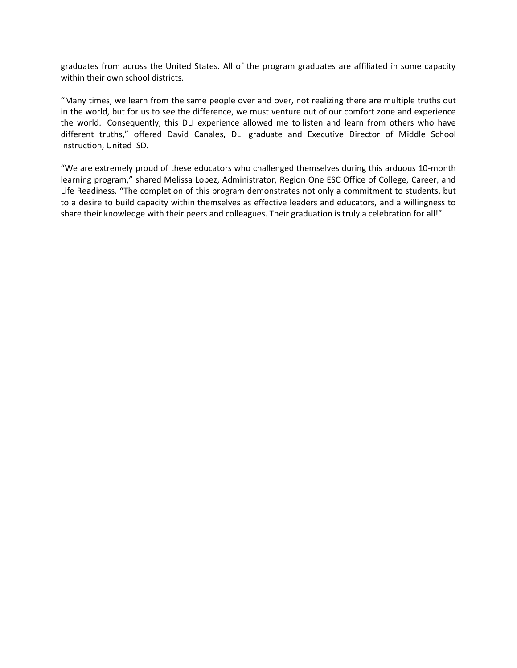graduates from across the United States. All of the program graduates are affiliated in some capacity within their own school districts.

"Many times, we learn from the same people over and over, not realizing there are multiple truths out in the world, but for us to see the difference, we must venture out of our comfort zone and experience the world. Consequently, this DLI experience allowed me to listen and learn from others who have different truths," offered David Canales, DLI graduate and Executive Director of Middle School Instruction, United ISD.

"We are extremely proud of these educators who challenged themselves during this arduous 10-month learning program," shared Melissa Lopez, Administrator, Region One ESC Office of College, Career, and Life Readiness. "The completion of this program demonstrates not only a commitment to students, but to a desire to build capacity within themselves as effective leaders and educators, and a willingness to share their knowledge with their peers and colleagues. Their graduation is truly a celebration for all!"